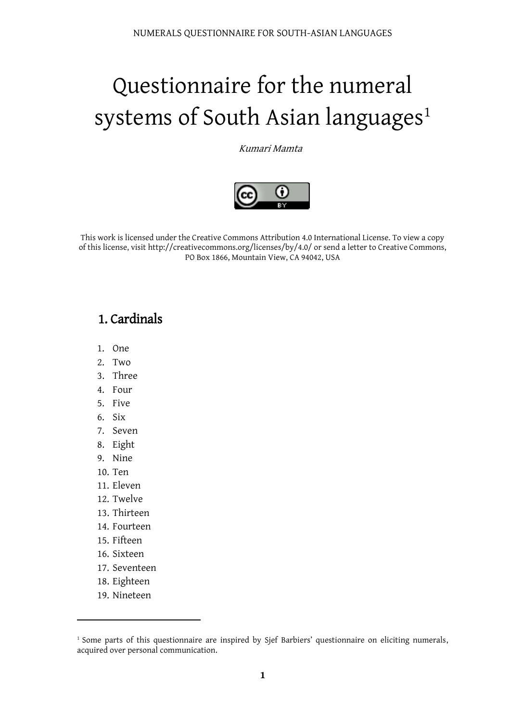# Questionnaire for the numeral systems of South Asian languages<sup>1</sup>

Kumari Mamta



This work is licensed under the Creative Commons Attribution 4.0 International License. To view a copy of this license, visit http://creativecommons.org/licenses/by/4.0/ or send a letter to Creative Commons, PO Box 1866, Mountain View, CA 94042, USA

## 1. Cardinals

- 1. One
- 2. Two
- 3. Three
- 4. Four
- 5. Five
- 6. Six
- 7. Seven
- 8. Eight
- 9. Nine
- 10. Ten
- 11. Eleven
- 12. Twelve
- 13. Thirteen
- 14. Fourteen
- 15. Fifteen
- 16. Sixteen
- 17. Seventeen
- 18. Eighteen
- 19. Nineteen

 $\overline{a}$ 

<sup>&</sup>lt;sup>1</sup> Some parts of this questionnaire are inspired by Sjef Barbiers' questionnaire on eliciting numerals, acquired over personal communication.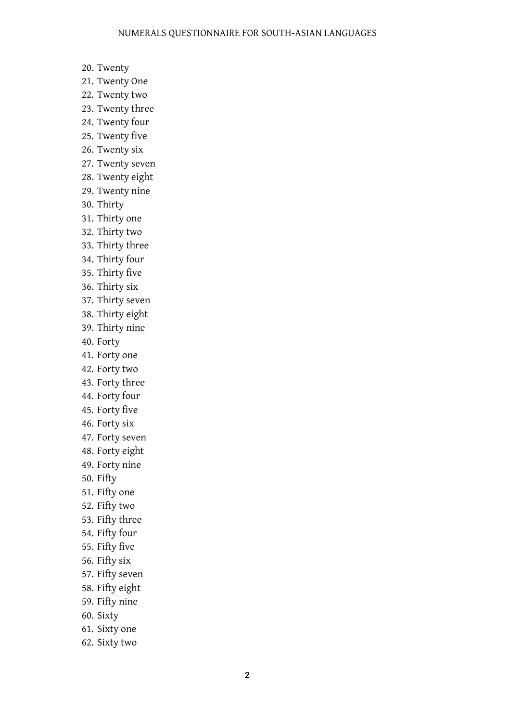- 20. Twenty
- 21. Twenty One
- 22. Twenty two
- 23. Twenty three
- 24. Twenty four
- 25. Twenty five
- 26. Twenty six
- 27. Twenty seven
- 28. Twenty eight
- 29. Twenty nine
- 30. Thirty
- 31. Thirty one
- 32. Thirty two
- 33. Thirty three
- 34. Thirty four
- 35. Thirty five
- 36. Thirty six
- 37. Thirty seven
- 38. Thirty eight
- 39. Thirty nine
- 40. Forty
- 41. Forty one
- 42. Forty two
- 43. Forty three
- 44. Forty four
- 45. Forty five
- 46. Forty six
- 47. Forty seven
- 48. Forty eight
- 49. Forty nine
- 50. Fifty
- 51. Fifty one
- 52. Fifty two
- 53. Fifty three
- 54. Fifty four
- 55. Fifty five
- 56. Fifty six
- 57. Fifty seven
- 58. Fifty eight
- 59. Fifty nine
- 60. Sixty
- 61. Sixty one
- 62. Sixty two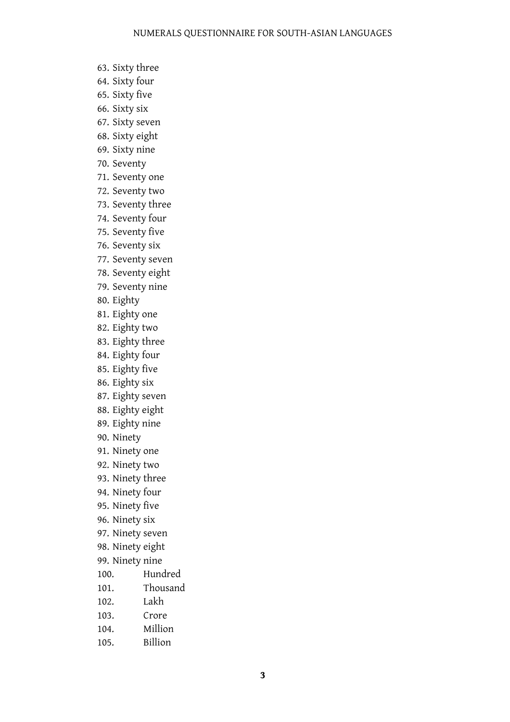- 63. Sixty three
- 64. Sixty four
- 65. Sixty five
- 66. Sixty six
- 67. Sixty seven
- 68. Sixty eight
- 69. Sixty nine
- 70. Seventy
- 71. Seventy one
- 72. Seventy two
- 73. Seventy three
- 74. Seventy four
- 75. Seventy five
- 76. Seventy six
- 77. Seventy seven
- 78. Seventy eight
- 79. Seventy nine
- 80. Eighty
- 81. Eighty one
- 82. Eighty two
- 83. Eighty three
- 84. Eighty four
- 85. Eighty five
- 86. Eighty six
- 87. Eighty seven
- 88. Eighty eight
- 89. Eighty nine
- 90. Ninety
- 91. Ninety one
- 92. Ninety two
- 93. Ninety three
- 94. Ninety four
- 95. Ninety five
- 96. Ninety six
- 97. Ninety seven
- 98. Ninety eight
- 99. Ninety nine
- 100. Hundred
- 101. Thousand
- 102. Lakh
- 103. Crore
- 104. Million
- 105. Billion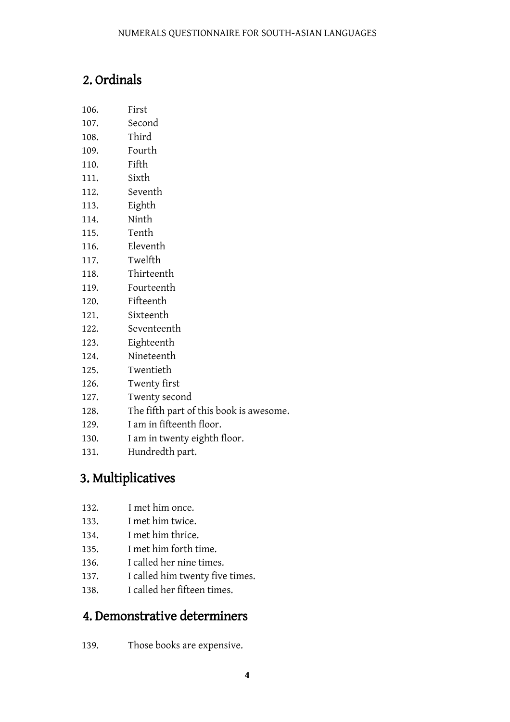# 2. Ordinals

- 106. First
- 107. Second
- 108. Third
- 109. Fourth
- 110. Fifth
- 111. Sixth
- 112. Seventh
- 113. Eighth
- 114. Ninth
- 115. Tenth
- 116. Eleventh
- 117. Twelfth
- 118. Thirteenth
- 119. Fourteenth
- 120. Fifteenth
- 121. Sixteenth
- 122. Seventeenth
- 123. Eighteenth
- 124. Nineteenth
- 125. Twentieth
- 126. Twenty first
- 127. Twenty second
- 128. The fifth part of this book is awesome.
- 129. I am in fifteenth floor.
- 130. I am in twenty eighth floor.
- 131. Hundredth part.

# 3. Multiplicatives

- 132. I met him once.
- 133. I met him twice.
- 134. I met him thrice.
- 135. I met him forth time.
- 136. I called her nine times.
- 137. I called him twenty five times.
- 138. I called her fifteen times.

#### 4. Demonstrative determiners

139. Those books are expensive.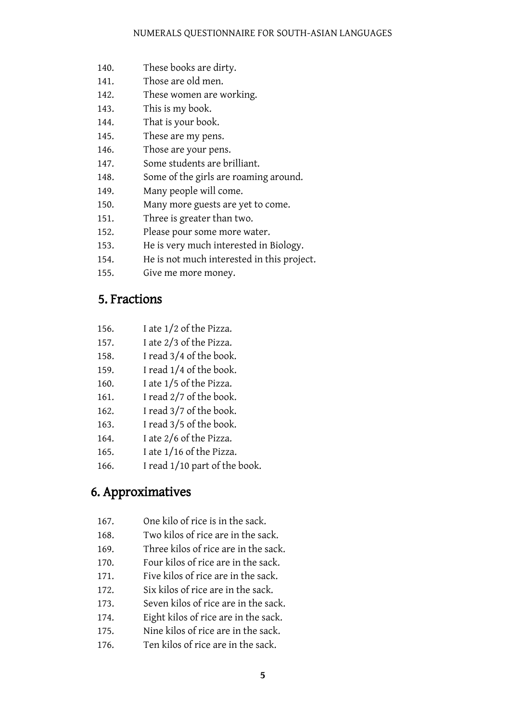- 140. These books are dirty.
- 141. Those are old men.
- 142. These women are working.
- 143. This is my book.
- 144. That is your book.
- 145. These are my pens.
- 146. Those are your pens.
- 147. Some students are brilliant.
- 148. Some of the girls are roaming around.
- 149. Many people will come.
- 150. Many more guests are yet to come.
- 151. Three is greater than two.
- 152. Please pour some more water.
- 153. He is very much interested in Biology.
- 154. He is not much interested in this project.
- 155. Give me more money.

#### 5. Fractions

- 156. I ate 1/2 of the Pizza.
- 157. I ate 2/3 of the Pizza.
- 158. I read 3/4 of the book.
- 159. I read 1/4 of the book.
- 160. I ate 1/5 of the Pizza.
- 161. I read 2/7 of the book.
- 162. I read 3/7 of the book.
- 163. I read 3/5 of the book.
- 164. I ate 2/6 of the Pizza.
- 165. I ate 1/16 of the Pizza.
- 166. I read 1/10 part of the book.

#### 6. Approximatives

- 167. One kilo of rice is in the sack.
- 168. Two kilos of rice are in the sack.
- 169. Three kilos of rice are in the sack.
- 170. Four kilos of rice are in the sack.
- 171. Five kilos of rice are in the sack.
- 172. Six kilos of rice are in the sack.
- 173. Seven kilos of rice are in the sack.
- 174. Eight kilos of rice are in the sack.
- 175. Nine kilos of rice are in the sack.
- 176. Ten kilos of rice are in the sack.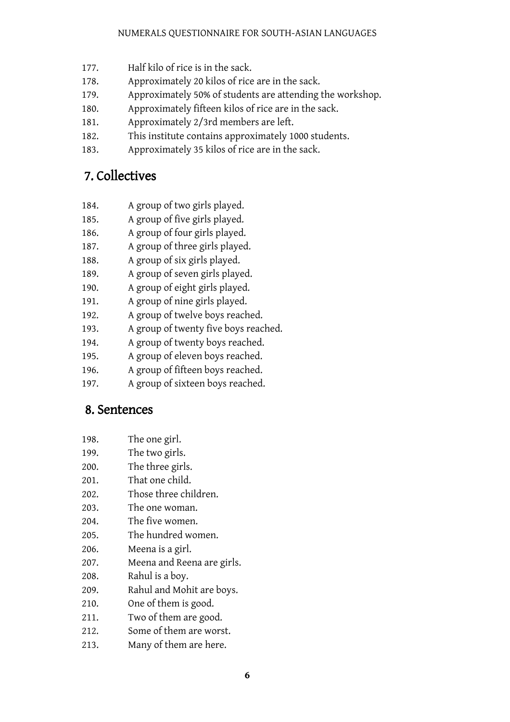- 177. Half kilo of rice is in the sack.
- 178. Approximately 20 kilos of rice are in the sack.
- 179. Approximately 50% of students are attending the workshop.
- 180. Approximately fifteen kilos of rice are in the sack.
- 181. Approximately 2/3rd members are left.
- 182. This institute contains approximately 1000 students.
- 183. Approximately 35 kilos of rice are in the sack.

## 7. Collectives

- 184. A group of two girls played.
- 185. A group of five girls played.
- 186. A group of four girls played.
- 187. A group of three girls played.
- 188. A group of six girls played.
- 189. A group of seven girls played.
- 190. A group of eight girls played.
- 191. A group of nine girls played.
- 192. A group of twelve boys reached.
- 193. A group of twenty five boys reached.
- 194. A group of twenty boys reached.
- 195. A group of eleven boys reached.
- 196. A group of fifteen boys reached.
- 197. A group of sixteen boys reached.

#### 8. Sentences

- 198. The one girl.
- 199. The two girls.
- 200. The three girls.
- 201. That one child.
- 202. Those three children.
- 203. The one woman.
- 204. The five women.
- 205. The hundred women.
- 206. Meena is a girl.
- 207. Meena and Reena are girls.
- 208. Rahul is a boy.
- 209. Rahul and Mohit are boys.
- 210. One of them is good.
- 211. Two of them are good.
- 212. Some of them are worst.
- 213. Many of them are here.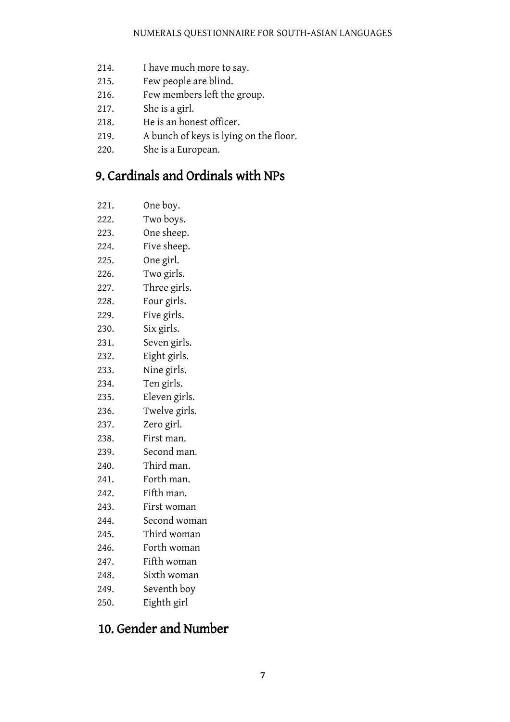- 214. I have much more to say.
- 215. Few people are blind.
- 216. Few members left the group.
- 217. She is a girl.
- 218. He is an honest officer.
- 219. A bunch of keys is lying on the floor.
- 220. She is a European.

## 9. Cardinals and Ordinals with NPs

- 221. One boy.
- 222. Two boys.
- 223. One sheep.
- 224. Five sheep.
- 225. One girl.
- 226. Two girls.
- 227. Three girls.
- 228. Four girls.
- 229. Five girls.
- 230. Six girls.
- 231. Seven girls.
- 232. Eight girls.
- 233. Nine girls.
- 234. Ten girls.
- 235. Eleven girls.
- 236. Twelve girls.
- 237. Zero girl.
- 238. First man.
- 239. Second man.
- 240. Third man.
- 241. Forth man.
- 242. Fifth man.
- 243. First woman
- 244. Second woman
- 245. Third woman
- 246. Forth woman
- 247. Fifth woman
- 248. Sixth woman
- 249. Seventh boy
- 250. Eighth girl

# 10. Gender and Number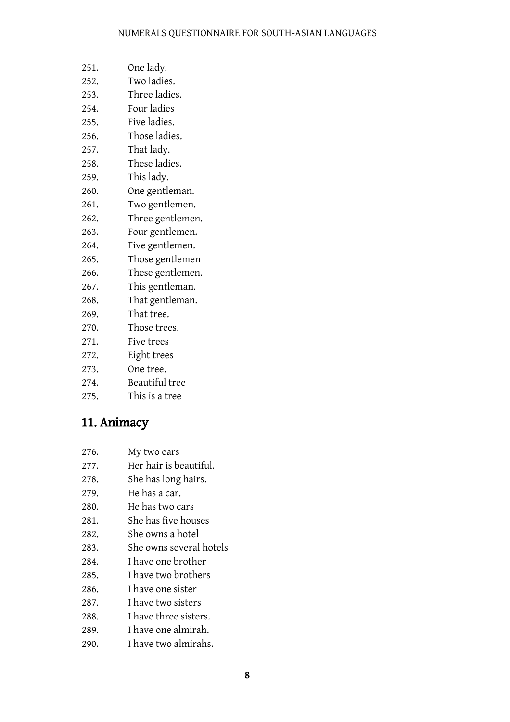#### NUMERALS QUESTIONNAIRE FOR SOUTH-ASIAN LANGUAGES

- 251. One lady.
- 252. Two ladies.
- 253. Three ladies.
- 254. Four ladies
- 255. Five ladies.
- 256. Those ladies.
- 257. That lady.
- 258. These ladies.
- 259. This lady.
- 260. One gentleman.
- 261. Two gentlemen.
- 262. Three gentlemen.
- 263. Four gentlemen.
- 264. Five gentlemen.
- 265. Those gentlemen
- 266. These gentlemen.
- 267. This gentleman.
- 268. That gentleman.
- 269. That tree.
- 270. Those trees.
- 271. Five trees
- 272. Eight trees
- 273. One tree.
- 274. Beautiful tree
- 275. This is a tree

#### 11. Animacy

- 276. My two ears
- 277. Her hair is beautiful.
- 278. She has long hairs.
- 279. He has a car.
- 280. He has two cars
- 281. She has five houses
- 282. She owns a hotel
- 283. She owns several hotels
- 284. I have one brother
- 285. I have two brothers
- 286. I have one sister
- 287. I have two sisters
- 288. I have three sisters.
- 289. I have one almirah.
- 290. I have two almirahs.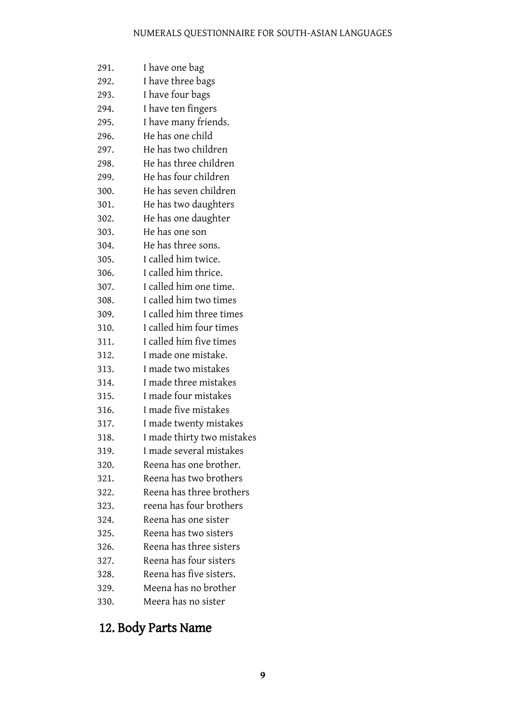#### NUMERALS QUESTIONNAIRE FOR SOUTH-ASIAN LANGUAGES

291. I have one bag 292. I have three bags 293. I have four bags 294. I have ten fingers 295. I have many friends. 296. He has one child 297. He has two children 298. He has three children 299. He has four children 300. He has seven children 301. He has two daughters 302. He has one daughter 303. He has one son 304. He has three sons. 305. I called him twice. 306. I called him thrice. 307. I called him one time. 308. I called him two times 309. I called him three times 310. I called him four times 311. I called him five times 312. I made one mistake. 313. I made two mistakes 314. I made three mistakes 315. I made four mistakes 316. I made five mistakes 317. I made twenty mistakes 318. I made thirty two mistakes 319. I made several mistakes 320. Reena has one brother. 321. Reena has two brothers 322. Reena has three brothers 323. reena has four brothers 324. Reena has one sister 325. Reena has two sisters 326. Reena has three sisters 327. Reena has four sisters 328. Reena has five sisters. 329. Meena has no brother 330. Meera has no sister

#### 12. Body Parts Name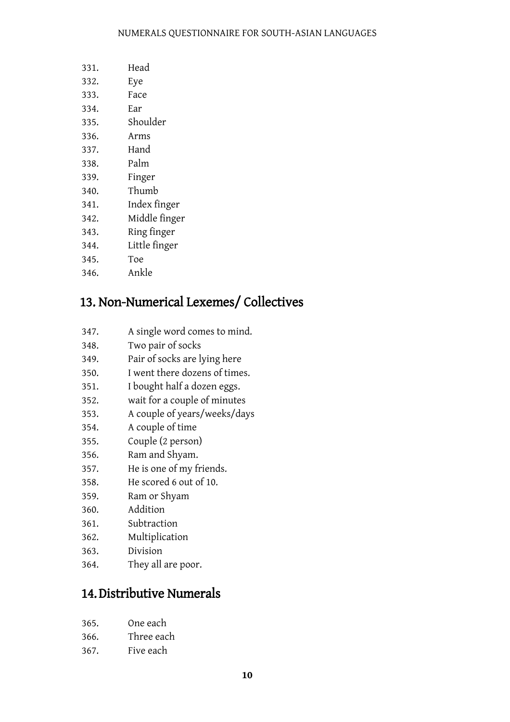#### NUMERALS QUESTIONNAIRE FOR SOUTH-ASIAN LANGUAGES

| 331. | Head          |
|------|---------------|
| 332. | Eye           |
| 333. | Face          |
| 334. | Ear           |
| 335. | Shoulder      |
| 336. | Arms          |
| 337. | Hand          |
| 338. | Palm          |
| 339. | Finger        |
| 340. | Thumb         |
| 341. | Index finger  |
| 342. | Middle finger |
| 343. | Ring finger   |
| 344. | Little finger |
| 345. | Toe           |

# 13. Non-Numerical Lexemes/ Collectives

- 347. A single word comes to mind.
- 348. Two pair of socks

346. Ankle

- 349. Pair of socks are lying here
- 350. I went there dozens of times.
- 351. I bought half a dozen eggs.
- 352. wait for a couple of minutes
- 353. A couple of years/weeks/days
- 354. A couple of time
- 355. Couple (2 person)
- 356. Ram and Shyam.
- 357. He is one of my friends.
- 358. He scored 6 out of 10.
- 359. Ram or Shyam
- 360. Addition
- 361. Subtraction
- 362. Multiplication
- 363. Division
- 364. They all are poor.

#### 14. Distributive Numerals

- 366. Three each
- 367. Five each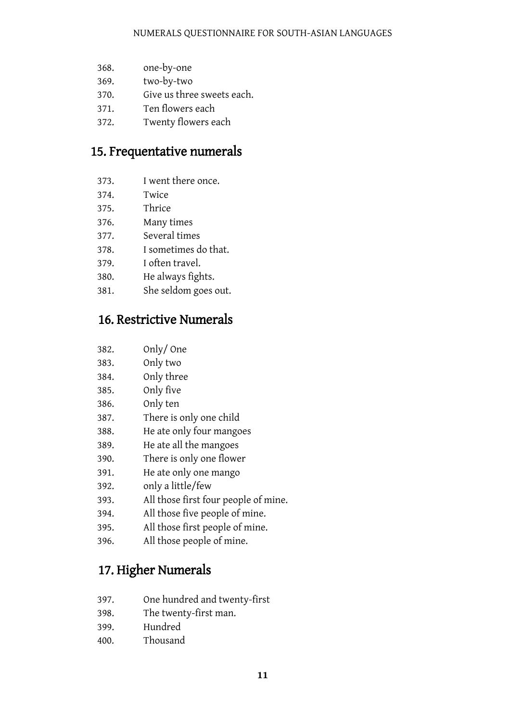- 368. one-by-one
- 369. two-by-two
- 370. Give us three sweets each.
- 371. Ten flowers each
- 372. Twenty flowers each

#### 15. Frequentative numerals

- 373. I went there once.
- 374. Twice
- 375. Thrice
- 376. Many times
- 377. Several times
- 378. I sometimes do that.
- 379. I often travel.
- 380. He always fights.
- 381. She seldom goes out.

## 16. Restrictive Numerals

| 382. | Only/One                             |
|------|--------------------------------------|
| 383. | Only two                             |
| 384. | Only three                           |
| 385. | Only five                            |
| 386. | Only ten                             |
| 387. | There is only one child              |
| 388. | He ate only four mangoes             |
| 389. | He ate all the mangoes               |
| 390. | There is only one flower             |
| 391. | He ate only one mango                |
| 392. | only a little/few                    |
| 393. | All those first four people of mine. |
| 394. | All those five people of mine.       |
| 395. | All those first people of mine.      |
| 396. | All those people of mine.            |

# 17. Higher Numerals

- 397. One hundred and twenty-first
- 398. The twenty-first man.
- 399. Hundred
- 400. Thousand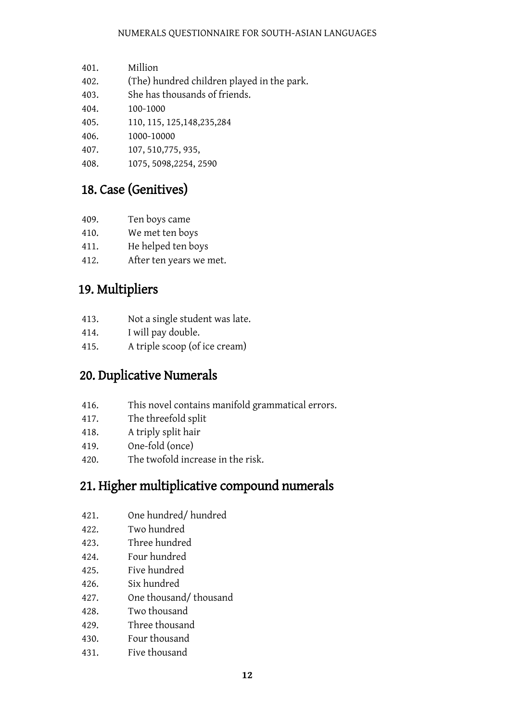- 401. Million
- 402. (The) hundred children played in the park.
- 403. She has thousands of friends.
- 404. 100-1000
- 405. 110, 115, 125,148,235,284
- 406. 1000-10000
- 407. 107, 510,775, 935,
- 408. 1075, 5098,2254, 2590

## 18. Case (Genitives)

- 409. Ten boys came
- 410. We met ten boys
- 411. He helped ten boys
- 412. After ten years we met.

## 19. Multipliers

- 413. Not a single student was late.
- 414. I will pay double.
- 415. A triple scoop (of ice cream)

#### 20. Duplicative Numerals

- 416. This novel contains manifold grammatical errors.
- 417. The threefold split
- 418. A triply split hair
- 419. One-fold (once)
- 420. The twofold increase in the risk.

#### 21. Higher multiplicative compound numerals

- 421. One hundred/ hundred
- 422. Two hundred
- 423. Three hundred
- 424. Four hundred
- 425. Five hundred
- 426. Six hundred
- 427. One thousand/ thousand
- 428. Two thousand
- 429. Three thousand
- 430. Four thousand
- 431. Five thousand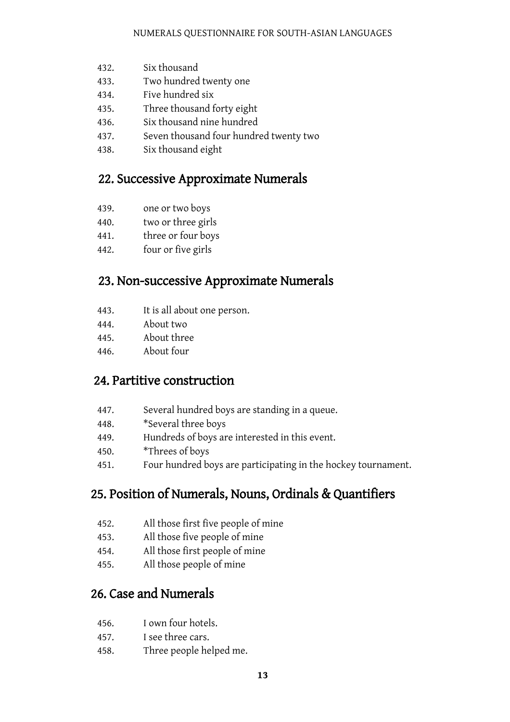- 432. Six thousand
- 433. Two hundred twenty one
- 434. Five hundred six
- 435. Three thousand forty eight
- 436. Six thousand nine hundred
- 437. Seven thousand four hundred twenty two
- 438. Six thousand eight

#### 22. Successive Approximate Numerals

- 439. one or two boys
- 440. two or three girls
- 441. three or four boys
- 442. four or five girls

#### 23. Non-successive Approximate Numerals

- 443. It is all about one person.
- 444. About two
- 445. About three
- 446. About four

#### 24. Partitive construction

- 447. Several hundred boys are standing in a queue.
- 448. \*Several three boys
- 449. Hundreds of boys are interested in this event.
- 450. \*Threes of boys
- 451. Four hundred boys are participating in the hockey tournament.

#### 25. Position of Numerals, Nouns, Ordinals & Quantifiers

- 452. All those first five people of mine
- 453. All those five people of mine
- 454. All those first people of mine
- 455. All those people of mine

#### 26. Case and Numerals

- 456. I own four hotels.
- 457. I see three cars.
- 458. Three people helped me.